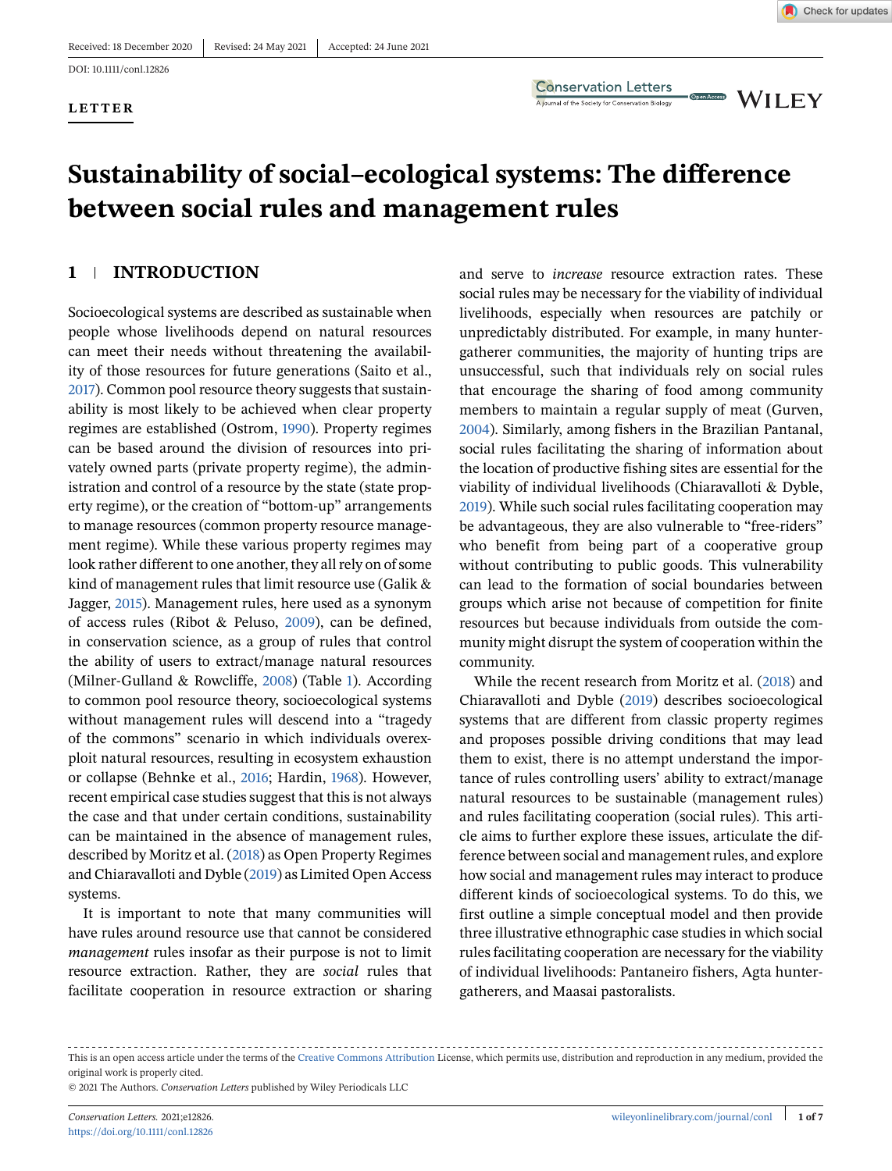#### **LETTER**



**Conservation Letters** A journal of the Society for Conservation Biology

**WILEY** 

Open Access

# **Sustainability of social–ecological systems: The difference between social rules and management rules**

# **1 INTRODUCTION**

Socioecological systems are described as sustainable when people whose livelihoods depend on natural resources can meet their needs without threatening the availability of those resources for future generations (Saito et al., [2017\)](#page-6-0). Common pool resource theory suggests that sustainability is most likely to be achieved when clear property regimes are established (Ostrom, [1990\)](#page-6-0). Property regimes can be based around the division of resources into privately owned parts (private property regime), the administration and control of a resource by the state (state property regime), or the creation of "bottom-up" arrangements to manage resources (common property resource management regime). While these various property regimes may look rather different to one another, they all rely on of some kind of management rules that limit resource use (Galik & Jagger, [2015\)](#page-5-0). Management rules, here used as a synonym of access rules (Ribot & Peluso, [2009\)](#page-6-0), can be defined, in conservation science, as a group of rules that control the ability of users to extract/manage natural resources (Milner-Gulland & Rowcliffe, [2008\)](#page-5-0) (Table [1\)](#page-1-0). According to common pool resource theory, socioecological systems without management rules will descend into a "tragedy of the commons" scenario in which individuals overexploit natural resources, resulting in ecosystem exhaustion or collapse (Behnke et al., [2016;](#page-5-0) Hardin, [1968\)](#page-5-0). However, recent empirical case studies suggest that this is not always the case and that under certain conditions, sustainability can be maintained in the absence of management rules, described by Moritz et al. [\(2018\)](#page-5-0) as Open Property Regimes and Chiaravalloti and Dyble [\(2019\)](#page-5-0) as Limited Open Access systems.

It is important to note that many communities will have rules around resource use that cannot be considered *management* rules insofar as their purpose is not to limit resource extraction. Rather, they are *social* rules that facilitate cooperation in resource extraction or sharing

and serve to *increase* resource extraction rates. These social rules may be necessary for the viability of individual livelihoods, especially when resources are patchily or unpredictably distributed. For example, in many huntergatherer communities, the majority of hunting trips are unsuccessful, such that individuals rely on social rules that encourage the sharing of food among community members to maintain a regular supply of meat (Gurven, [2004\)](#page-5-0). Similarly, among fishers in the Brazilian Pantanal, social rules facilitating the sharing of information about the location of productive fishing sites are essential for the viability of individual livelihoods (Chiaravalloti & Dyble, [2019\)](#page-5-0). While such social rules facilitating cooperation may be advantageous, they are also vulnerable to "free-riders" who benefit from being part of a cooperative group without contributing to public goods. This vulnerability can lead to the formation of social boundaries between groups which arise not because of competition for finite resources but because individuals from outside the community might disrupt the system of cooperation within the community.

While the recent research from Moritz et al. [\(2018\)](#page-5-0) and Chiaravalloti and Dyble [\(2019\)](#page-5-0) describes socioecological systems that are different from classic property regimes and proposes possible driving conditions that may lead them to exist, there is no attempt understand the importance of rules controlling users' ability to extract/manage natural resources to be sustainable (management rules) and rules facilitating cooperation (social rules). This article aims to further explore these issues, articulate the difference between social and management rules, and explore how social and management rules may interact to produce different kinds of socioecological systems. To do this, we first outline a simple conceptual model and then provide three illustrative ethnographic case studies in which social rules facilitating cooperation are necessary for the viability of individual livelihoods: Pantaneiro fishers, Agta huntergatherers, and Maasai pastoralists.

This is an open access article under the terms of the [Creative Commons Attribution](http://creativecommons.org/licenses/by/4.0/) License, which permits use, distribution and reproduction in any medium, provided the original work is properly cited.

<sup>© 2021</sup> The Authors. *Conservation Letters* published by Wiley Periodicals LLC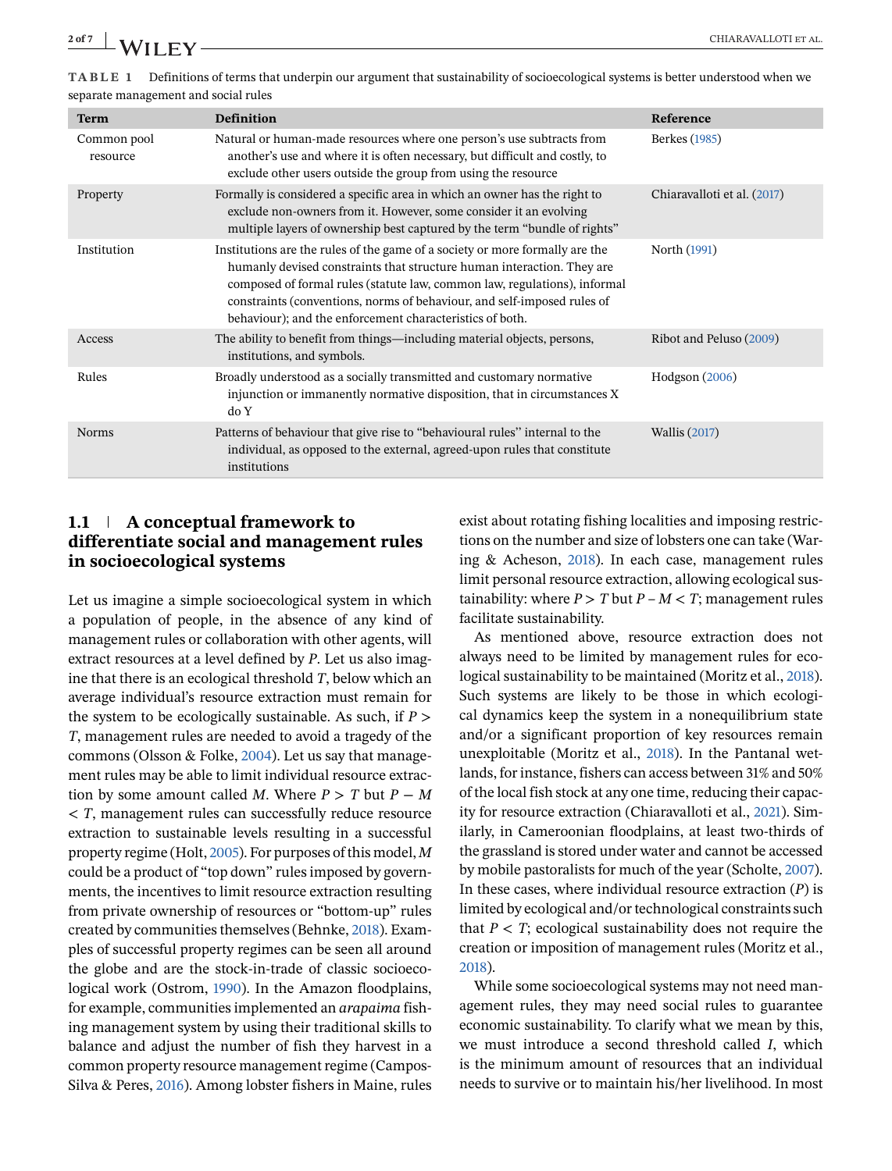<span id="page-1-0"></span>

| TABLE 1 Definitions of terms that underpin our argument that sustainability of socioecological systems is better understood when we |
|-------------------------------------------------------------------------------------------------------------------------------------|

| separate management and social rules |                                                                                                                                                                                                                                                                                                                                                                            |                             |  |  |  |
|--------------------------------------|----------------------------------------------------------------------------------------------------------------------------------------------------------------------------------------------------------------------------------------------------------------------------------------------------------------------------------------------------------------------------|-----------------------------|--|--|--|
| <b>Term</b>                          | Definition                                                                                                                                                                                                                                                                                                                                                                 | Reference                   |  |  |  |
| Common pool<br>resource              | Natural or human-made resources where one person's use subtracts from<br>another's use and where it is often necessary, but difficult and costly, to<br>exclude other users outside the group from using the resource                                                                                                                                                      | Berkes (1985)               |  |  |  |
| Property                             | Formally is considered a specific area in which an owner has the right to<br>exclude non-owners from it. However, some consider it an evolving<br>multiple layers of ownership best captured by the term "bundle of rights"                                                                                                                                                | Chiaravalloti et al. (2017) |  |  |  |
| Institution                          | Institutions are the rules of the game of a society or more formally are the<br>humanly devised constraints that structure human interaction. They are<br>composed of formal rules (statute law, common law, regulations), informal<br>constraints (conventions, norms of behaviour, and self-imposed rules of<br>behaviour); and the enforcement characteristics of both. | North (1991)                |  |  |  |
| Access                               | The ability to benefit from things—including material objects, persons,<br>institutions, and symbols.                                                                                                                                                                                                                                                                      | Ribot and Peluso (2009)     |  |  |  |
| Rules                                | Broadly understood as a socially transmitted and customary normative<br>injunction or immanently normative disposition, that in circumstances X<br>do Y                                                                                                                                                                                                                    | Hodgson (2006)              |  |  |  |
| <b>Norms</b>                         | Patterns of behaviour that give rise to "behavioural rules" internal to the<br>individual, as opposed to the external, agreed-upon rules that constitute<br>institutions                                                                                                                                                                                                   | <b>Wallis</b> (2017)        |  |  |  |

# **1.1 A conceptual framework to differentiate social and management rules in socioecological systems**

Let us imagine a simple socioecological system in which a population of people, in the absence of any kind of management rules or collaboration with other agents, will extract resources at a level defined by *P*. Let us also imagine that there is an ecological threshold *T*, below which an average individual's resource extraction must remain for the system to be ecologically sustainable. As such, if *P* > *T*, management rules are needed to avoid a tragedy of the commons (Olsson & Folke, [2004\)](#page-6-0). Let us say that management rules may be able to limit individual resource extraction by some amount called *M*. Where  $P > T$  but  $P - M$ < *T*, management rules can successfully reduce resource extraction to sustainable levels resulting in a successful property regime (Holt, [2005\)](#page-5-0). For purposes of this model, *M* could be a product of "top down" rules imposed by governments, the incentives to limit resource extraction resulting from private ownership of resources or "bottom-up" rules created by communities themselves (Behnke, [2018\)](#page-5-0). Examples of successful property regimes can be seen all around the globe and are the stock-in-trade of classic socioecological work (Ostrom, [1990\)](#page-6-0). In the Amazon floodplains, for example, communities implemented an *arapaima* fishing management system by using their traditional skills to balance and adjust the number of fish they harvest in a common property resource management regime (Campos-Silva & Peres, [2016\)](#page-5-0). Among lobster fishers in Maine, rules

exist about rotating fishing localities and imposing restrictions on the number and size of lobsters one can take (Waring & Acheson, [2018\)](#page-6-0). In each case, management rules limit personal resource extraction, allowing ecological sustainability: where  $P > T$  but  $P - M < T$ ; management rules facilitate sustainability.

As mentioned above, resource extraction does not always need to be limited by management rules for ecological sustainability to be maintained (Moritz et al., [2018\)](#page-5-0). Such systems are likely to be those in which ecological dynamics keep the system in a nonequilibrium state and/or a significant proportion of key resources remain unexploitable (Moritz et al., [2018\)](#page-5-0). In the Pantanal wetlands, for instance, fishers can access between 31% and 50% of the local fish stock at any one time, reducing their capacity for resource extraction (Chiaravalloti et al., [2021\)](#page-5-0). Similarly, in Cameroonian floodplains, at least two-thirds of the grassland is stored under water and cannot be accessed by mobile pastoralists for much of the year (Scholte, [2007\)](#page-6-0). In these cases, where individual resource extraction (*P*) is limited by ecological and/or technological constraints such that  $P < T$ ; ecological sustainability does not require the creation or imposition of management rules (Moritz et al., [2018\)](#page-5-0).

While some socioecological systems may not need management rules, they may need social rules to guarantee economic sustainability. To clarify what we mean by this, we must introduce a second threshold called *I*, which is the minimum amount of resources that an individual needs to survive or to maintain his/her livelihood. In most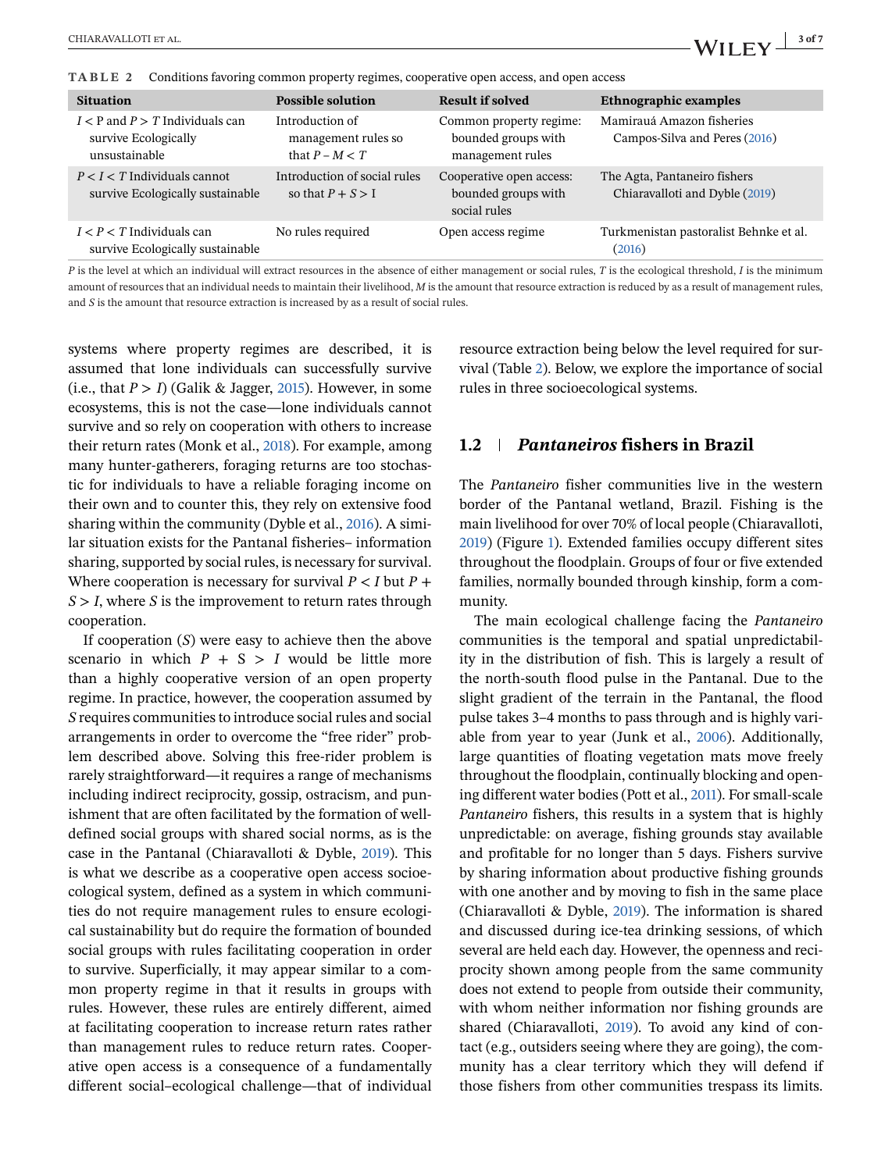<span id="page-2-0"></span>**TABLE 2** Conditions favoring common property regimes, cooperative open access, and open access

| <b>Situation</b>                                                             | <b>Possible solution</b>                                   | Result if solved                                                   | <b>Ethnographic examples</b>                                   |
|------------------------------------------------------------------------------|------------------------------------------------------------|--------------------------------------------------------------------|----------------------------------------------------------------|
| $I < P$ and $P > T$ Individuals can<br>survive Ecologically<br>unsustainable | Introduction of<br>management rules so<br>that $P - M < T$ | Common property regime:<br>bounded groups with<br>management rules | Mamirauá Amazon fisheries<br>Campos-Silva and Peres (2016)     |
| $P < I < T$ Individuals cannot<br>survive Ecologically sustainable           | Introduction of social rules<br>so that $P + S > I$        | Cooperative open access:<br>bounded groups with<br>social rules    | The Agta, Pantaneiro fishers<br>Chiaravalloti and Dyble (2019) |
| $I < P < T$ Individuals can<br>survive Ecologically sustainable              | No rules required                                          | Open access regime                                                 | Turkmenistan pastoralist Behnke et al.<br>(2016)               |

*P* is the level at which an individual will extract resources in the absence of either management or social rules, *T* is the ecological threshold, *I* is the minimum amount of resources that an individual needs to maintain their livelihood, *M* is the amount that resource extraction is reduced by as a result of management rules, and *S* is the amount that resource extraction is increased by as a result of social rules.

systems where property regimes are described, it is assumed that lone individuals can successfully survive (i.e., that  $P > I$ ) (Galik & Jagger, [2015\)](#page-5-0). However, in some ecosystems, this is not the case—lone individuals cannot survive and so rely on cooperation with others to increase their return rates (Monk et al., [2018\)](#page-5-0). For example, among many hunter-gatherers, foraging returns are too stochastic for individuals to have a reliable foraging income on their own and to counter this, they rely on extensive food sharing within the community (Dyble et al., [2016\)](#page-5-0). A similar situation exists for the Pantanal fisheries– information sharing, supported by social rules, is necessary for survival. Where cooperation is necessary for survival  $P \leq I$  but  $P +$  $S > I$ , where *S* is the improvement to return rates through cooperation.

If cooperation (*S*) were easy to achieve then the above scenario in which  $P + S > I$  would be little more than a highly cooperative version of an open property regime. In practice, however, the cooperation assumed by *S* requires communities to introduce social rules and social arrangements in order to overcome the "free rider" problem described above. Solving this free-rider problem is rarely straightforward—it requires a range of mechanisms including indirect reciprocity, gossip, ostracism, and punishment that are often facilitated by the formation of welldefined social groups with shared social norms, as is the case in the Pantanal (Chiaravalloti & Dyble, [2019\)](#page-5-0). This is what we describe as a cooperative open access socioecological system, defined as a system in which communities do not require management rules to ensure ecological sustainability but do require the formation of bounded social groups with rules facilitating cooperation in order to survive. Superficially, it may appear similar to a common property regime in that it results in groups with rules. However, these rules are entirely different, aimed at facilitating cooperation to increase return rates rather than management rules to reduce return rates. Cooperative open access is a consequence of a fundamentally different social–ecological challenge—that of individual

resource extraction being below the level required for survival (Table 2). Below, we explore the importance of social rules in three socioecological systems.

# **1.2** *Pantaneiros* **fishers in Brazil**

The *Pantaneiro* fisher communities live in the western border of the Pantanal wetland, Brazil. Fishing is the main livelihood for over 70% of local people (Chiaravalloti, [2019\)](#page-5-0) (Figure [1\)](#page-3-0). Extended families occupy different sites throughout the floodplain. Groups of four or five extended families, normally bounded through kinship, form a community.

The main ecological challenge facing the *Pantaneiro* communities is the temporal and spatial unpredictability in the distribution of fish. This is largely a result of the north-south flood pulse in the Pantanal. Due to the slight gradient of the terrain in the Pantanal, the flood pulse takes 3–4 months to pass through and is highly variable from year to year (Junk et al., [2006\)](#page-5-0). Additionally, large quantities of floating vegetation mats move freely throughout the floodplain, continually blocking and opening different water bodies (Pott et al., [2011\)](#page-6-0). For small-scale *Pantaneiro* fishers, this results in a system that is highly unpredictable: on average, fishing grounds stay available and profitable for no longer than 5 days. Fishers survive by sharing information about productive fishing grounds with one another and by moving to fish in the same place (Chiaravalloti & Dyble, [2019\)](#page-5-0). The information is shared and discussed during ice-tea drinking sessions, of which several are held each day. However, the openness and reciprocity shown among people from the same community does not extend to people from outside their community, with whom neither information nor fishing grounds are shared (Chiaravalloti, [2019\)](#page-5-0). To avoid any kind of contact (e.g., outsiders seeing where they are going), the community has a clear territory which they will defend if those fishers from other communities trespass its limits.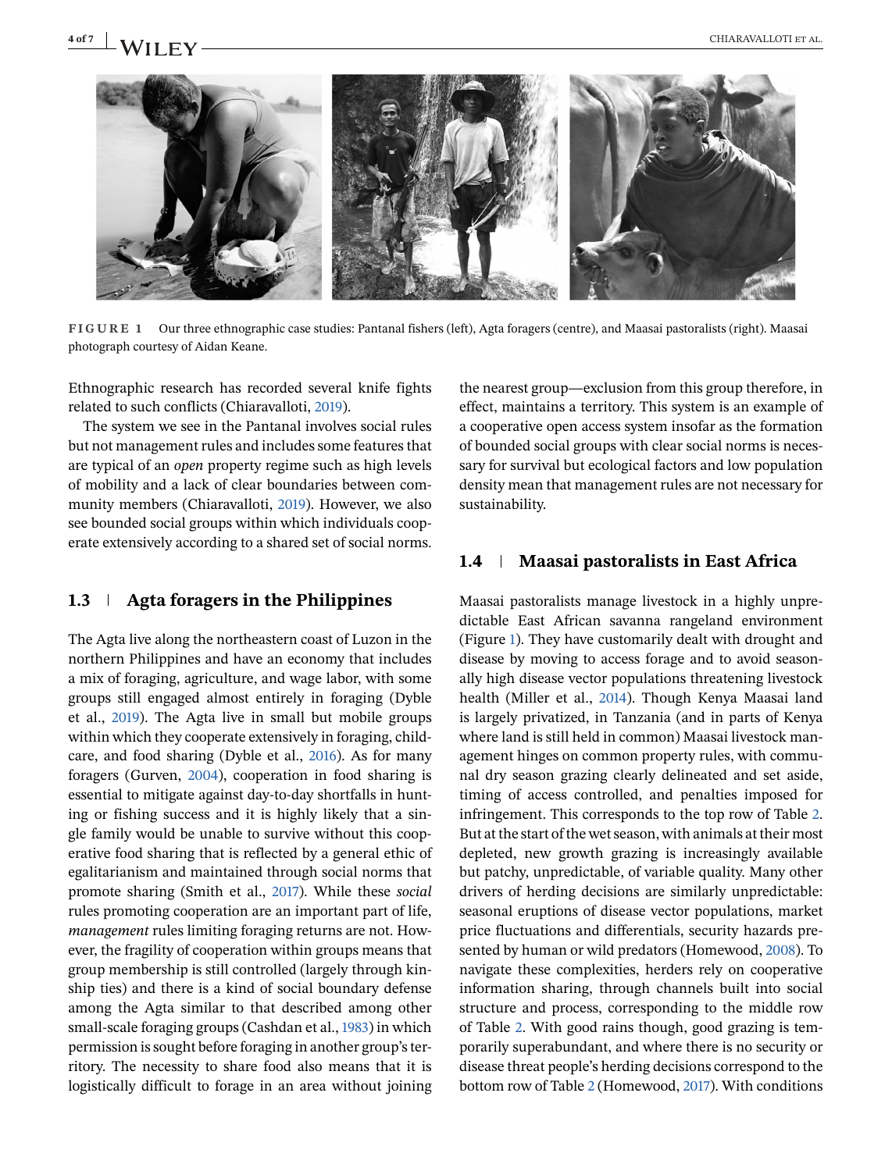<span id="page-3-0"></span>

**FIGURE 1** Our three ethnographic case studies: Pantanal fishers (left), Agta foragers (centre), and Maasai pastoralists (right). Maasai photograph courtesy of Aidan Keane.

Ethnographic research has recorded several knife fights related to such conflicts (Chiaravalloti, [2019\)](#page-5-0).

The system we see in the Pantanal involves social rules but not management rules and includes some features that are typical of an *open* property regime such as high levels of mobility and a lack of clear boundaries between community members (Chiaravalloti, [2019\)](#page-5-0). However, we also see bounded social groups within which individuals cooperate extensively according to a shared set of social norms.

# **1.3 Agta foragers in the Philippines**

The Agta live along the northeastern coast of Luzon in the northern Philippines and have an economy that includes a mix of foraging, agriculture, and wage labor, with some groups still engaged almost entirely in foraging (Dyble et al., [2019\)](#page-5-0). The Agta live in small but mobile groups within which they cooperate extensively in foraging, childcare, and food sharing (Dyble et al., [2016\)](#page-5-0). As for many foragers (Gurven, [2004\)](#page-5-0), cooperation in food sharing is essential to mitigate against day-to-day shortfalls in hunting or fishing success and it is highly likely that a single family would be unable to survive without this cooperative food sharing that is reflected by a general ethic of egalitarianism and maintained through social norms that promote sharing (Smith et al., [2017\)](#page-6-0). While these *social* rules promoting cooperation are an important part of life, *management* rules limiting foraging returns are not. However, the fragility of cooperation within groups means that group membership is still controlled (largely through kinship ties) and there is a kind of social boundary defense among the Agta similar to that described among other small-scale foraging groups (Cashdan et al., [1983\)](#page-5-0) in which permission is sought before foraging in another group's territory. The necessity to share food also means that it is logistically difficult to forage in an area without joining

the nearest group—exclusion from this group therefore, in effect, maintains a territory. This system is an example of a cooperative open access system insofar as the formation of bounded social groups with clear social norms is necessary for survival but ecological factors and low population density mean that management rules are not necessary for sustainability.

## **1.4 Maasai pastoralists in East Africa**

Maasai pastoralists manage livestock in a highly unpredictable East African savanna rangeland environment (Figure 1). They have customarily dealt with drought and disease by moving to access forage and to avoid seasonally high disease vector populations threatening livestock health (Miller et al., [2014\)](#page-5-0). Though Kenya Maasai land is largely privatized, in Tanzania (and in parts of Kenya where land is still held in common) Maasai livestock management hinges on common property rules, with communal dry season grazing clearly delineated and set aside, timing of access controlled, and penalties imposed for infringement. This corresponds to the top row of Table [2.](#page-2-0) But at the start of the wet season, with animals at their most depleted, new growth grazing is increasingly available but patchy, unpredictable, of variable quality. Many other drivers of herding decisions are similarly unpredictable: seasonal eruptions of disease vector populations, market price fluctuations and differentials, security hazards presented by human or wild predators (Homewood, [2008\)](#page-5-0). To navigate these complexities, herders rely on cooperative information sharing, through channels built into social structure and process, corresponding to the middle row of Table [2.](#page-2-0) With good rains though, good grazing is temporarily superabundant, and where there is no security or disease threat people's herding decisions correspond to the bottom row of Table [2](#page-2-0) (Homewood, [2017\)](#page-5-0). With conditions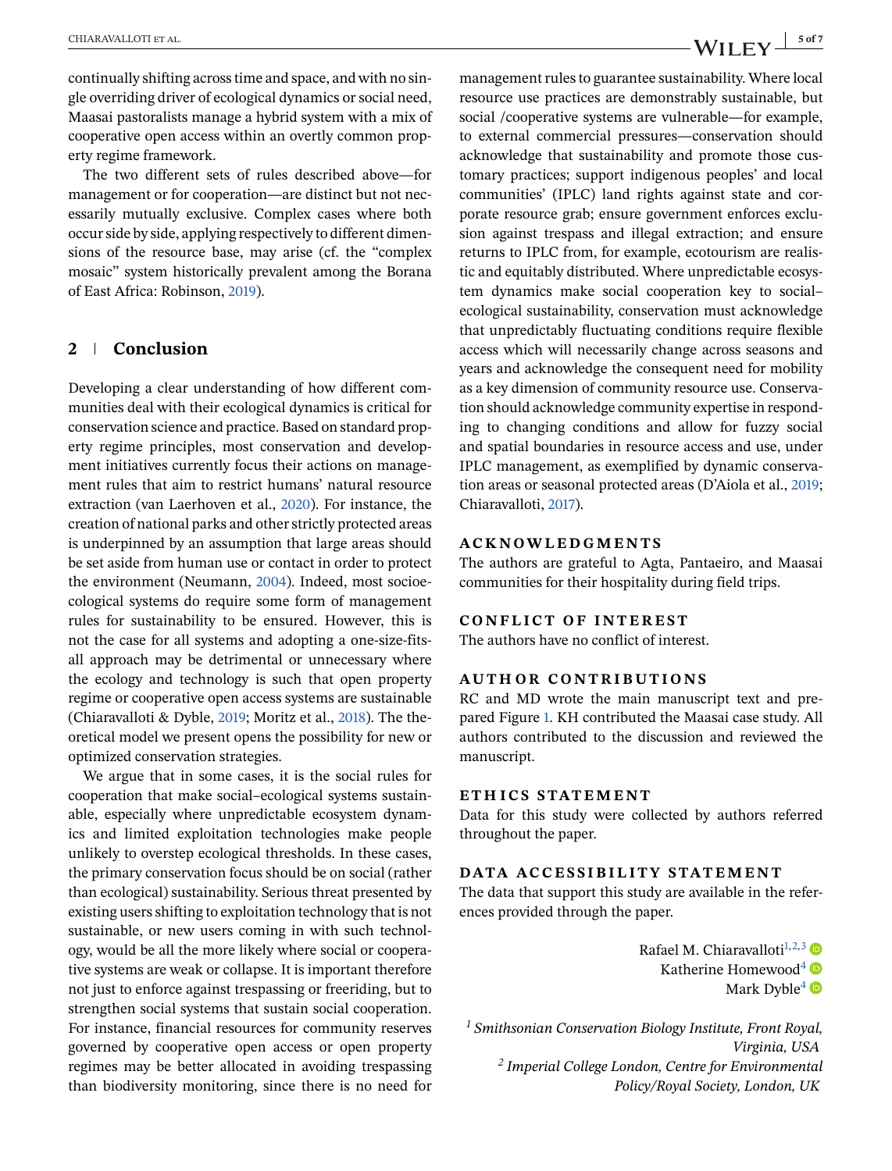continually shifting across time and space, and with no single overriding driver of ecological dynamics or social need, Maasai pastoralists manage a hybrid system with a mix of cooperative open access within an overtly common property regime framework.

The two different sets of rules described above—for management or for cooperation—are distinct but not necessarily mutually exclusive. Complex cases where both occur side by side, applying respectively to different dimensions of the resource base, may arise (cf. the "complex mosaic" system historically prevalent among the Borana of East Africa: Robinson, [2019\)](#page-6-0).

# **2 Conclusion**

Developing a clear understanding of how different communities deal with their ecological dynamics is critical for conservation science and practice. Based on standard property regime principles, most conservation and development initiatives currently focus their actions on management rules that aim to restrict humans' natural resource extraction (van Laerhoven et al., [2020\)](#page-6-0). For instance, the creation of national parks and other strictly protected areas is underpinned by an assumption that large areas should be set aside from human use or contact in order to protect the environment (Neumann, [2004\)](#page-6-0). Indeed, most socioecological systems do require some form of management rules for sustainability to be ensured. However, this is not the case for all systems and adopting a one-size-fitsall approach may be detrimental or unnecessary where the ecology and technology is such that open property regime or cooperative open access systems are sustainable (Chiaravalloti & Dyble, [2019;](#page-5-0) Moritz et al., [2018\)](#page-5-0). The theoretical model we present opens the possibility for new or optimized conservation strategies.

We argue that in some cases, it is the social rules for cooperation that make social–ecological systems sustainable, especially where unpredictable ecosystem dynamics and limited exploitation technologies make people unlikely to overstep ecological thresholds. In these cases, the primary conservation focus should be on social (rather than ecological) sustainability. Serious threat presented by existing users shifting to exploitation technology that is not sustainable, or new users coming in with such technology, would be all the more likely where social or cooperative systems are weak or collapse. It is important therefore not just to enforce against trespassing or freeriding, but to strengthen social systems that sustain social cooperation. For instance, financial resources for community reserves governed by cooperative open access or open property regimes may be better allocated in avoiding trespassing than biodiversity monitoring, since there is no need for

management rules to guarantee sustainability. Where local resource use practices are demonstrably sustainable, but social /cooperative systems are vulnerable—for example, to external commercial pressures—conservation should acknowledge that sustainability and promote those customary practices; support indigenous peoples' and local communities' (IPLC) land rights against state and corporate resource grab; ensure government enforces exclusion against trespass and illegal extraction; and ensure returns to IPLC from, for example, ecotourism are realistic and equitably distributed. Where unpredictable ecosystem dynamics make social cooperation key to social– ecological sustainability, conservation must acknowledge that unpredictably fluctuating conditions require flexible access which will necessarily change across seasons and years and acknowledge the consequent need for mobility as a key dimension of community resource use. Conservation should acknowledge community expertise in responding to changing conditions and allow for fuzzy social and spatial boundaries in resource access and use, under IPLC management, as exemplified by dynamic conservation areas or seasonal protected areas (D'Aiola et al., 2019; Chiaravalloti, 2017).

## **ACKNOWLEDGMENTS**

The authors are grateful to Agta, Pantaeiro, and Maasai communities for their hospitality during field trips.

#### **CONFLICT OF INTEREST**

The authors have no conflict of interest.

## **AUTHOR CONTRIBUTIONS**

RC and MD wrote the main manuscript text and prepared Figure [1.](#page-3-0) KH contributed the Maasai case study. All authors contributed to the discussion and reviewed the manuscript.

## **ETH ICS STATEMENT**

Data for this study were collected by authors referred throughout the paper.

## **DATA ACCESSIBILITY STATEMENT**

The data that support this study are available in the references provided through the paper.

> Rafael M. Chiaravalloti<sup>1,2,3</sup> Katherine Homewood<sup>4</sup> Mark Dyble<sup>[4](#page-5-0)</sup>

*<sup>1</sup> Smithsonian Conservation Biology Institute, Front Royal, Virginia, USA <sup>2</sup> Imperial College London, Centre for Environmental Policy/Royal Society, London, UK*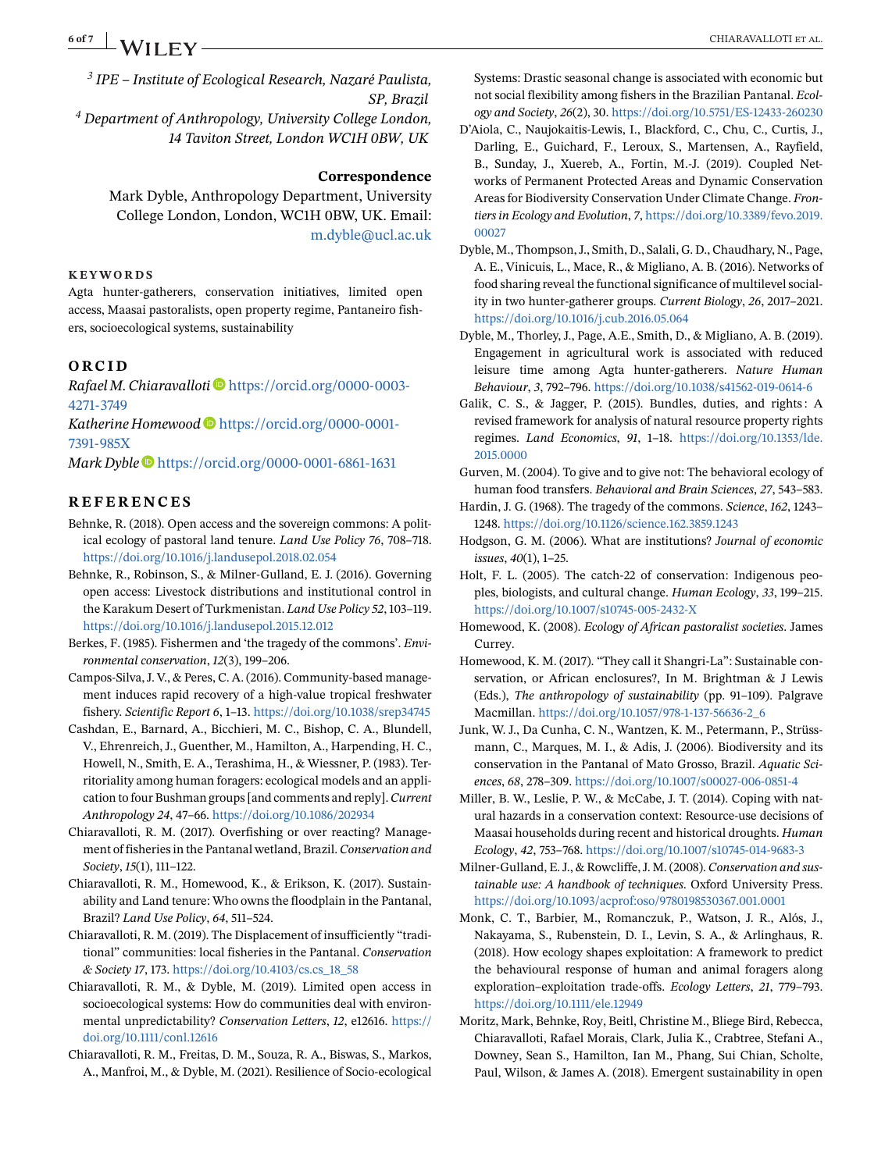<span id="page-5-0"></span>**6 of 7 A/II EV CHIARAVALLOTI ET AL.** 

*<sup>3</sup> IPE – Institute of Ecological Research, Nazaré Paulista, SP, Brazil <sup>4</sup> Department of Anthropology, University College London, 14 Taviton Street, London WC1H 0BW, UK*

#### **Correspondence**

Mark Dyble, Anthropology Department, University College London, London, WC1H 0BW, UK. Email: [m.dyble@ucl.ac.uk](mailto:m.dyble@ucl.ac.uk)

#### **KEYWORDS**

Agta hunter-gatherers, conservation initiatives, limited open access, Maasai pastoralists, open property regime, Pantaneiro fishers, socioecological systems, sustainability

#### **ORCID**

*Rafael M. Chiaravalloti* [https://orcid.org/0000-0003-](https://orcid.org/0000-0003-4271-3749) [4271-3749](https://orcid.org/0000-0003-4271-3749)

*Katherine Homewood* [https://orcid.org/0000-0001-](https://orcid.org/0000-0001-7391-985X) [7391-985X](https://orcid.org/0000-0001-7391-985X)

*Mark Dyble* <https://orcid.org/0000-0001-6861-1631>

### **REFERENCES**

Behnke, R. (2018). Open access and the sovereign commons: A political ecology of pastoral land tenure. *Land Use Policy 76*, 708–718. <https://doi.org/10.1016/j.landusepol.2018.02.054>

Behnke, R., Robinson, S., & Milner-Gulland, E. J. (2016). Governing open access: Livestock distributions and institutional control in the Karakum Desert of Turkmenistan. *Land Use Policy 52*, 103–119. <https://doi.org/10.1016/j.landusepol.2015.12.012>

- Berkes, F. (1985). Fishermen and 'the tragedy of the commons'. *Environmental conservation*, *12*(3), 199–206.
- Campos-Silva, J. V., & Peres, C. A. (2016). Community-based management induces rapid recovery of a high-value tropical freshwater fishery. *Scientific Report 6*, 1–13. <https://doi.org/10.1038/srep34745>
- Cashdan, E., Barnard, A., Bicchieri, M. C., Bishop, C. A., Blundell, V., Ehrenreich, J., Guenther, M., Hamilton, A., Harpending, H. C., Howell, N., Smith, E. A., Terashima, H., & Wiessner, P. (1983). Territoriality among human foragers: ecological models and an application to four Bushman groups [and comments and reply].*Current Anthropology 24*, 47–66. <https://doi.org/10.1086/202934>
- Chiaravalloti, R. M. (2017). Overfishing or over reacting? Management of fisheries in the Pantanal wetland, Brazil.*Conservation and Society*, *15*(1), 111–122.
- Chiaravalloti, R. M., Homewood, K., & Erikson, K. (2017). Sustainability and Land tenure: Who owns the floodplain in the Pantanal, Brazil? *Land Use Policy*, *64*, 511–524.
- Chiaravalloti, R. M. (2019). The Displacement of insufficiently "traditional" communities: local fisheries in the Pantanal. *Conservation & Society 17*, 173. [https://doi.org/10.4103/cs.cs\\_18\\_58](https://doi.org/10.4103/cs.cs_18_58)
- Chiaravalloti, R. M., & Dyble, M. (2019). Limited open access in socioecological systems: How do communities deal with environmental unpredictability? *Conservation Letters*, *12*, e12616. [https://](https://doi.org/10.1111/conl.12616) [doi.org/10.1111/conl.12616](https://doi.org/10.1111/conl.12616)
- Chiaravalloti, R. M., Freitas, D. M., Souza, R. A., Biswas, S., Markos, A., Manfroi, M., & Dyble, M. (2021). Resilience of Socio-ecological

Systems: Drastic seasonal change is associated with economic but not social flexibility among fishers in the Brazilian Pantanal. *Ecology and Society*, *26*(2), 30. <https://doi.org/10.5751/ES-12433-260230>

- D'Aiola, C., Naujokaitis-Lewis, I., Blackford, C., Chu, C., Curtis, J., Darling, E., Guichard, F., Leroux, S., Martensen, A., Rayfield, B., Sunday, J., Xuereb, A., Fortin, M.-J. (2019). Coupled Networks of Permanent Protected Areas and Dynamic Conservation Areas for Biodiversity Conservation Under Climate Change. *Frontiers in Ecology and Evolution*, *7*, [https://doi.org/10.3389/fevo.2019.](https://doi.org/10.3389/fevo.2019.00027) [00027](https://doi.org/10.3389/fevo.2019.00027)
- Dyble, M., Thompson, J., Smith, D., Salali, G. D., Chaudhary, N., Page, A. E., Vinicuis, L., Mace, R., & Migliano, A. B. (2016). Networks of food sharing reveal the functional significance of multilevel sociality in two hunter-gatherer groups. *Current Biology*, *26*, 2017–2021. <https://doi.org/10.1016/j.cub.2016.05.064>
- Dyble, M., Thorley, J., Page, A.E., Smith, D., & Migliano, A. B. (2019). Engagement in agricultural work is associated with reduced leisure time among Agta hunter-gatherers. *Nature Human Behaviour*, *3*, 792–796. <https://doi.org/10.1038/s41562-019-0614-6>
- Galik, C. S., & Jagger, P. (2015). Bundles, duties, and rights : A revised framework for analysis of natural resource property rights regimes. *Land Economics*, *91*, 1–18. [https://doi.org/10.1353/lde.](https://doi.org/10.1353/lde.2015.0000) [2015.0000](https://doi.org/10.1353/lde.2015.0000)
- Gurven, M. (2004). To give and to give not: The behavioral ecology of human food transfers. *Behavioral and Brain Sciences*, *27*, 543–583.
- Hardin, J. G. (1968). The tragedy of the commons. *Science*, *162*, 1243– 1248. <https://doi.org/10.1126/science.162.3859.1243>
- Hodgson, G. M. (2006). What are institutions? *Journal of economic issues*, *40*(1), 1–25.
- Holt, F. L. (2005). The catch-22 of conservation: Indigenous peoples, biologists, and cultural change. *Human Ecology*, *33*, 199–215. <https://doi.org/10.1007/s10745-005-2432-X>
- Homewood, K. (2008). *Ecology of African pastoralist societies*. James Currey.
- Homewood, K. M. (2017). "They call it Shangri-La": Sustainable conservation, or African enclosures?, In M. Brightman & J Lewis (Eds.), *The anthropology of sustainability* (pp. 91–109). Palgrave Macmillan. [https://doi.org/10.1057/978-1-137-56636-2\\_6](https://doi.org/10.1057/978-1-137-56636-2_6)
- Junk, W. J., Da Cunha, C. N., Wantzen, K. M., Petermann, P., Strüssmann, C., Marques, M. I., & Adis, J. (2006). Biodiversity and its conservation in the Pantanal of Mato Grosso, Brazil. *Aquatic Sciences*, *68*, 278–309. <https://doi.org/10.1007/s00027-006-0851-4>
- Miller, B. W., Leslie, P. W., & McCabe, J. T. (2014). Coping with natural hazards in a conservation context: Resource-use decisions of Maasai households during recent and historical droughts. *Human Ecology*, *42*, 753–768. <https://doi.org/10.1007/s10745-014-9683-3>
- Milner-Gulland, E. J., & Rowcliffe, J. M. (2008). *Conservation and sustainable use: A handbook of techniques*. Oxford University Press. <https://doi.org/10.1093/acprof:oso/9780198530367.001.0001>
- Monk, C. T., Barbier, M., Romanczuk, P., Watson, J. R., Alós, J., Nakayama, S., Rubenstein, D. I., Levin, S. A., & Arlinghaus, R. (2018). How ecology shapes exploitation: A framework to predict the behavioural response of human and animal foragers along exploration–exploitation trade-offs. *Ecology Letters*, *21*, 779–793. <https://doi.org/10.1111/ele.12949>
- Moritz, Mark, Behnke, Roy, Beitl, Christine M., Bliege Bird, Rebecca, Chiaravalloti, Rafael Morais, Clark, Julia K., Crabtree, Stefani A., Downey, Sean S., Hamilton, Ian M., Phang, Sui Chian, Scholte, Paul, Wilson, & James A. (2018). Emergent sustainability in open